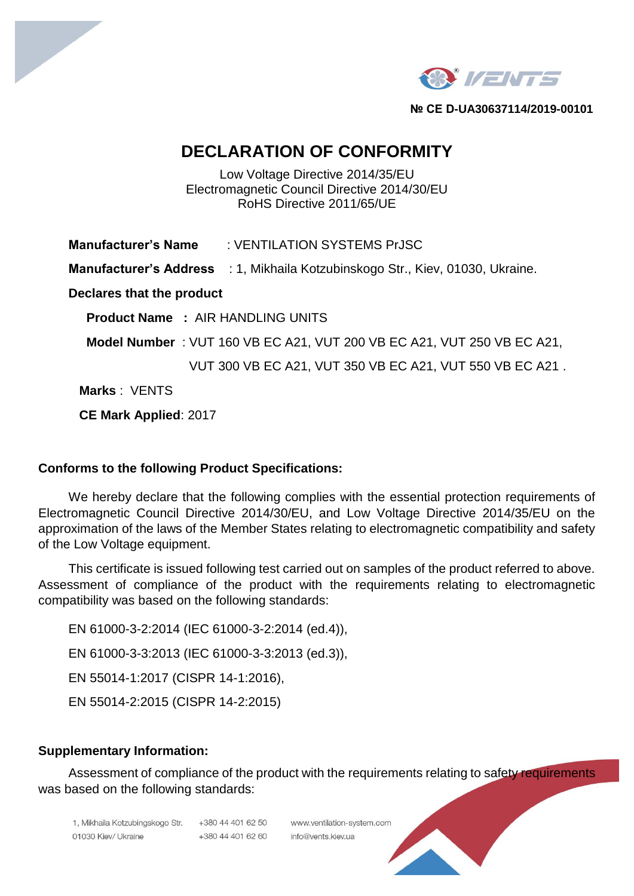



**№ CE D-UA30637114/2019-00101**

# **DECLARATION OF CONFORMITY**

Low Voltage Directive 2014/35/EU Electromagnetic Council Directive 2014/30/EU RoHS Directive 2011/65/UE

**Manufacturer's Name** : VENTILATION SYSTEMS PrJSC

**Manufacturer's Address** : 1, Mikhaila Kotzubinskogo Str., Kiev, 01030, Ukraine.

**Declares that the product**

 **Product Name :** AIR HANDLING UNITS

 **Model Number** : VUT 160 VB EC A21, VUT 200 VB EC A21, VUT 250 VB EC A21,

VUT 300 VB EC A21, VUT 350 VB EC A21, VUT 550 VB EC A21 .

 **Marks** : VENTS

**CE Mark Applied**: 2017

## **Conforms to the following Product Specifications:**

We hereby declare that the following complies with the essential protection requirements of Electromagnetic Council Directive 2014/30/EU, and Low Voltage Directive 2014/35/EU on the approximation of the laws of the Member States relating to electromagnetic compatibility and safety of the Low Voltage equipment.

This certificate is issued following test carried out on samples of the product referred to above. Assessment of compliance of the product with the requirements relating to electromagnetic compatibility was based on the following standards:

EN 61000-3-2:2014 (IEC 61000-3-2:2014 (ed.4)), EN 61000-3-3:2013 (IEC 61000-3-3:2013 (ed.3)), EN 55014-1:2017 (CISPR 14-1:2016), EN 55014-2:2015 (CISPR 14-2:2015)

## **Supplementary Information:**

Assessment of compliance of the product with the requirements relating to safety requirements was based on the following standards:

1, Mikhaila Kotzubingskogo Str. +380 44 401 62 50 www.ventilation-system.com +380 44 401 62 60 01030 Kiev/ Ukraine info@vents.kiev.ua